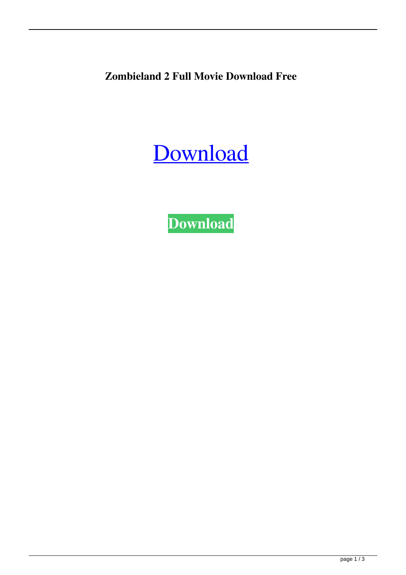**Zombieland 2 Full Movie Download Free**

[Download](http://evacdir.com/cmdbs/em9tYmllbGFuZCAyIGZ1bGwgbW92aWUgZG93bmxvYWQgZnJlZQem9.hypertonic/cspi/courses&ZG93bmxvYWR8Z1UzTVhwNGZId3hOalV5TnpRd09EWTJmSHd5TlRjMGZId29UU2tnY21WaFpDMWliRzluSUZ0R1lYTjBJRWRGVGww?devils&landrover=othere)

**[Download](http://evacdir.com/cmdbs/em9tYmllbGFuZCAyIGZ1bGwgbW92aWUgZG93bmxvYWQgZnJlZQem9.hypertonic/cspi/courses&ZG93bmxvYWR8Z1UzTVhwNGZId3hOalV5TnpRd09EWTJmSHd5TlRjMGZId29UU2tnY21WaFpDMWliRzluSUZ0R1lYTjBJRWRGVGww?devils&landrover=othere)**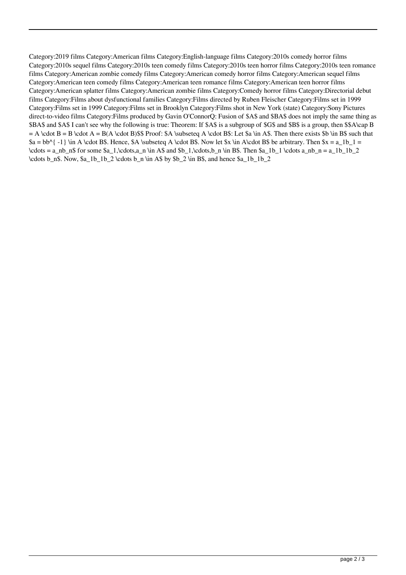Category:2019 films Category:American films Category:English-language films Category:2010s comedy horror films Category:2010s sequel films Category:2010s teen comedy films Category:2010s teen horror films Category:2010s teen romance films Category:American zombie comedy films Category:American comedy horror films Category:American sequel films Category:American teen comedy films Category:American teen romance films Category:American teen horror films Category:American splatter films Category:American zombie films Category:Comedy horror films Category:Directorial debut films Category:Films about dysfunctional families Category:Films directed by Ruben Fleischer Category:Films set in 1999 Category:Films set in 1999 Category:Films set in Brooklyn Category:Films shot in New York (state) Category:Sony Pictures direct-to-video films Category:Films produced by Gavin O'ConnorQ: Fusion of \$A\$ and \$BA\$ does not imply the same thing as \$BA\$ and \$A\$ I can't see why the following is true: Theorem: If \$A\$ is a subgroup of \$G\$ and \$B\$ is a group, then \$\$A\cap B  $=$  A \cdot B  $=$  B \cdot A  $=$  B(A \cdot B)\$\$ Proof: \$A \subseteq A \cdot B\$: Let \$a \in A\$. Then there exists \$b \in B\$ such that  $a = bb^{\{-1\}}$  \in A \cdot B\$. Hence, \$A \subseteq A \cdot B\$. Now let \$x \in A\cdot B\$ be arbitrary. Then  $x = a_1b_1 =$  $\cdot \cdots = a_nb_n$  for some  $a_1,\cdots,a_n \in A$  and  $b_1,\cdots,b_n \in B$ . Then  $a_1b_1 \cdots a_n b_n = a_1b_1b_2$  $\cdots$  b\_n\$. Now,  $a_1b_1b_2 \cdots b_n$  \in A\$ by  $b_2 \in B$ \$, and hence  $a_1b_1b_2$